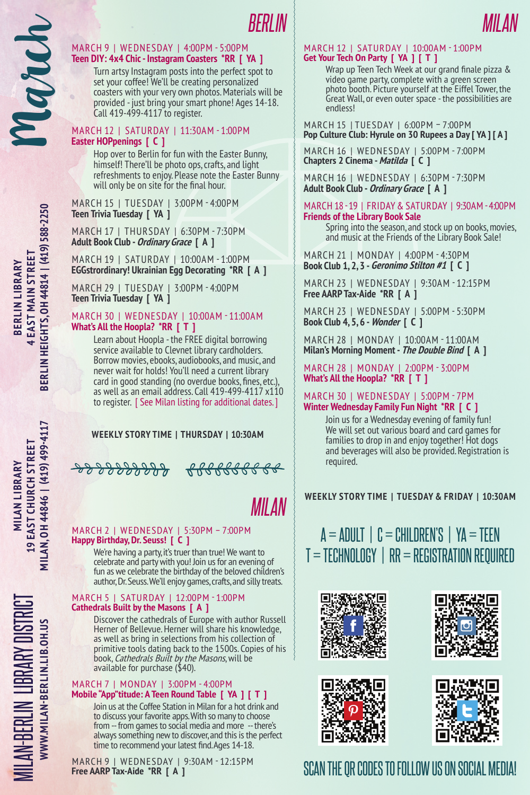# **Teen DIY: 4x4 Chic - Instagram Coasters \*RR [ YA ]**

MARCH 9 | WEDNESDAY | 4:00PM - 5:00PM<br> **Teen DIY: 4x4 Chic - Instagram Coasters \*RR [ 1**<br>
Turn artsy Instagram posts into the perfect<br>
set your coffeel We'll be creating personalize<br>
coasters with your very own photos. Mat Turn artsy Instagram posts into the perfect spot to set your coffee! We'll be creating personalized coasters with your very own photos. Materials will be provided - just bring your smart phone! Ages 14-18. Call 419-499-4117 to register.

#### March 12 | SATURDAY | 11:30am - 1:00pm **Easter HOPpenings [ C ]**

Hop over to Berlin for fun with the Easter Bunny, himself! There'll be photo ops, crafts, and light refreshments to enjoy. Please note the Easter Bunny will only be on site for the final hour.

March 15 | TUESDAY | 3:00pm - 4:00pm **Teen Trivia Tuesday [ YA ]**

March 17 | THURSDAY | 6:30pm - 7:30pm **Adult Book Club - Ordinary Grace [ A ]**

March 19 | SATURDAY | 10:00am - 1:00pm **EGGstrordinary! Ukrainian Egg Decorating \*RR [ A ]**

March 29 | TUESDAY | 3:00pm - 4:00pm **Teen Trivia Tuesday [ YA ]**

#### March 30 | WEDNESDAY | 10:00am - 11:00am **What's All the Hoopla? \*RR [ T ]**

Learn about Hoopla - the FREE digital borrowing service available to Clevnet library cardholders. Borrow movies, ebooks, audiobooks, and music, and never wait for holds! You'll need a current library card in good standing (no overdue books, fines, etc.), as well as an email address. Call 419-499-4117 x110 to register. [ See Milan listing for additional dates. ]

## **Weekly Story Time | Thursday | 10:30AM**

*Milan*

### March 2 | WEDNESDAY | 5:30pm – 7:00pm **Happy Birthday, Dr. Seuss! [ C ]**

We're having a party, it's truer than true! We want to celebrate and party with you! Join us for an evening of fun as we celebrate the birthday of the beloved children's author, Dr. Seuss. We'll enjoy games, crafts, and silly treats.

#### March 5 | SATURDAY | 12:00pm - 1:00pm **Cathedrals Built by the Masons [ A ]**

Discover the cathedrals of Europe with author Russell Herner of Bellevue. Herner will share his knowledge, as well as bring in selections from his collection of primitive tools dating back to the 1500s. Copies of his book, Cathedrals Built by the Masons, will be available for purchase (\$40).

#### March 7 | MONDAY | 3:00pm - 4:00pm **Mobile "App"titude: A Teen Round Table [ YA ] [ T ]**

Join us at the Coffee Station in Milan for a hot drink and to discuss your favorite apps. With so many to choose from -- from games to social media and more -- there's always something new to discover, and this is the perfect time to recommend your latest find. Ages 14-18.

March 9 | WEDNESDAY | 9:30am - 12:15pm **Free AARP Tax-Aide \*RR [ A ]**



#### March 12 | SATURDAY | 10:00am - 1:00pm **Get Your Tech On Party [ YA ] [ T ]**

Wrap up Teen Tech Week at our grand finale pizza & video game party, complete with a green screen photo booth. Picture yourself at the Eiffel Tower, the Great Wall, or even outer space - the possibilities are endless!

March 15 | TUESDAY | 6:00pm – 7:00pm **Pop Culture Club: Hyrule on 30 Rupees a Day [ YA ] [ A ]**

March 16 | WEDNESDAY | 5:00pm - 7:00pm **Chapters 2 Cinema - Matilda [ C ]**

March 16 | WEDNESDAY | 6:30pm - 7:30pm **Adult Book Club - Ordinary Grace [ A ]**

#### March 18 - 19 | FRIDAY & SATURDAY | 9:30am - 4:00pm **Friends of the Library Book Sale**

Spring into the season, and stock up on books, movies, and music at the Friends of the Library Book Sale!

March 21 | MONDAY | 4:00pm - 4:30pm **Book Club 1, 2, 3 - Geronimo Stilton #1 [ C ]**

**MARCH 23 | WEDNESDAY | 9:30AM - 12:15PM**<br>**Fivia Tuesday [ YA ] MARCH 23 | WEDNESDAY | 9:30AM - 12:15PM**<br>MARCH 23 | MARCH 23 | WEDNESDAY | FORDM, FORDM **Free AARP Tax-Aide \*RR [ A ]**

March 23 | WEDNESDAY | 5:00pm - 5:30pm **Book Club 4, 5, 6 - Wonder [ C ]**

D I S T R I C T **Milan's Morning Moment - The Double Bind [ A ]** March 28 | MONDAY | 10:00am - 11:00am

> March 28 | MONDAY | 2:00pm - 3:00pm **What's All the Hoopla? \*RR [ T ]**

#### March 30 | WEDNESDAY | 5:00pm - 7pm **Winter Wednesday Family Fun Night \*RR [ C ]**

Join us for a Wednesday evening of family fun! We will set out various board and card games for families to drop in and enjoy together! Hot dogs and beverages will also be provided. Registration is required.

**Weekly Story Time | Tuesday & FRIDAY | 10:30AM**

## $A = ADULT \perp C = CHILDREN'S \perp YA = TEEN$  $T = TECH NOLOGY$  | RR = REGISTRATION REQUIRED









# SCAN THE OR CODES TO FOLLOW US ON SOCIAL MEDIA!

Milan-Berlin Librar

**www.milan-berlin.lib.oh.us**

 $\geq$ 

DISTRIC

t

**Milan Library 19 East Church Street**

**Milan, OH 44846 | (419) 499-4117**

MILAN. 0H 44846 | (419) 499-4117 19 EAST CHURCH STREET **MILAN LIBRARY**